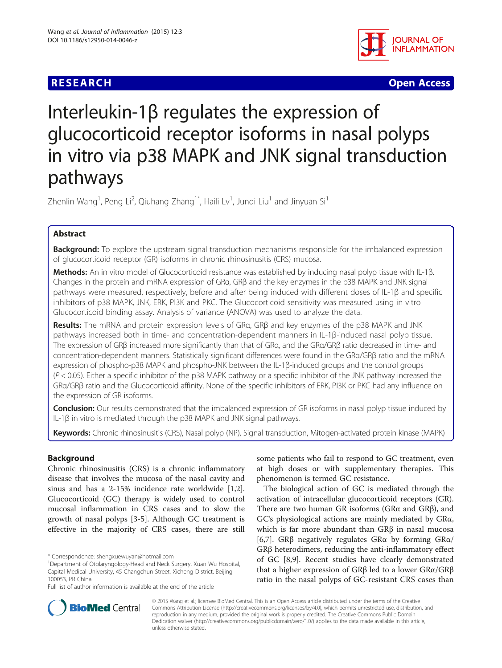## **RESEARCH CHEAR CHEAR CHEAR CHEAR CHEAR CHEAR CHEAR CHEAR CHEAR CHEAR CHEAR CHEAR CHEAR CHEAR CHEAR CHEAR CHEAR**



# Interleukin-1β regulates the expression of glucocorticoid receptor isoforms in nasal polyps in vitro via p38 MAPK and JNK signal transduction pathways

Zhenlin Wang<sup>1</sup>, Peng Li<sup>2</sup>, Qiuhang Zhang<sup>1\*</sup>, Haili Lv<sup>1</sup>, Junqi Liu<sup>1</sup> and Jinyuan Si<sup>1</sup>

## Abstract

**Background:** To explore the upstream signal transduction mechanisms responsible for the imbalanced expression of glucocorticoid receptor (GR) isoforms in chronic rhinosinusitis (CRS) mucosa.

Methods: An in vitro model of Glucocorticoid resistance was established by inducing nasal polyp tissue with IL-1β. Changes in the protein and mRNA expression of GRα, GRβ and the key enzymes in the p38 MAPK and JNK signal pathways were measured, respectively, before and after being induced with different doses of IL-1β and specific inhibitors of p38 MAPK, JNK, ERK, PI3K and PKC. The Glucocorticoid sensitivity was measured using in vitro Glucocorticoid binding assay. Analysis of variance (ANOVA) was used to analyze the data.

Results: The mRNA and protein expression levels of GRα, GRβ and key enzymes of the p38 MAPK and JNK pathways increased both in time- and concentration-dependent manners in IL-1β-induced nasal polyp tissue. The expression of GRβ increased more significantly than that of GRα, and the GRα/GRβ ratio decreased in time- and concentration-dependent manners. Statistically significant differences were found in the GRα/GRβ ratio and the mRNA expression of phospho-p38 MAPK and phospho-JNK between the IL-1β-induced groups and the control groups  $(P < 0.05)$ . Either a specific inhibitor of the p38 MAPK pathway or a specific inhibitor of the JNK pathway increased the GRα/GRβ ratio and the Glucocorticoid affinity. None of the specific inhibitors of ERK, PI3K or PKC had any influence on the expression of GR isoforms.

Conclusion: Our results demonstrated that the imbalanced expression of GR isoforms in nasal polyp tissue induced by IL-1β in vitro is mediated through the p38 MAPK and JNK signal pathways.

Keywords: Chronic rhinosinusitis (CRS), Nasal polyp (NP), Signal transduction, Mitogen-activated protein kinase (MAPK)

## Background

Chronic rhinosinusitis (CRS) is a chronic inflammatory disease that involves the mucosa of the nasal cavity and sinus and has a 2-15% incidence rate worldwide [\[1,2](#page-8-0)]. Glucocorticoid (GC) therapy is widely used to control mucosal inflammation in CRS cases and to slow the growth of nasal polyps [\[3](#page-8-0)-[5\]](#page-8-0). Although GC treatment is effective in the majority of CRS cases, there are still

\* Correspondence: [shengxuewuyan@hotmail.com](mailto:shengxuewuyan@hotmail.com) <sup>1</sup>

some patients who fail to respond to GC treatment, even at high doses or with supplementary therapies. This phenomenon is termed GC resistance.

The biological action of GC is mediated through the activation of intracellular glucocorticoid receptors (GR). There are two human GR isoforms (GRα and GRβ), and GC's physiological actions are mainly mediated by GRα, which is far more abundant than GRβ in nasal mucosa [[6,7\]](#page-8-0). GRβ negatively regulates GRα by forming GRα/ GRβ heterodimers, reducing the anti-inflammatory effect of GC [[8,9\]](#page-8-0). Recent studies have clearly demonstrated that a higher expression of GRβ led to a lower GRα/GRβ ratio in the nasal polyps of GC-resistant CRS cases than



© 2015 Wang et al.; licensee BioMed Central. This is an Open Access article distributed under the terms of the Creative Commons Attribution License [\(http://creativecommons.org/licenses/by/4.0\)](http://creativecommons.org/licenses/by/4.0), which permits unrestricted use, distribution, and reproduction in any medium, provided the original work is properly credited. The Creative Commons Public Domain Dedication waiver [\(http://creativecommons.org/publicdomain/zero/1.0/](http://creativecommons.org/publicdomain/zero/1.0/)) applies to the data made available in this article, unless otherwise stated.

Department of Otolaryngology-Head and Neck Surgery, Xuan Wu Hospital, Capital Medical University, 45 Changchun Street, Xicheng District, Beijing 100053, PR China

Full list of author information is available at the end of the article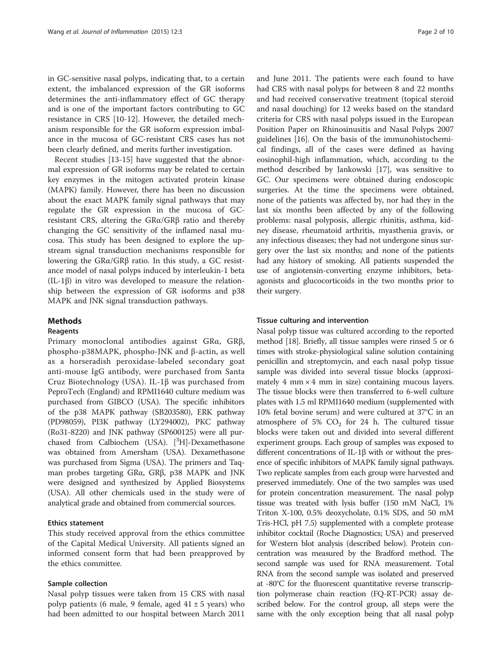in GC-sensitive nasal polyps, indicating that, to a certain extent, the imbalanced expression of the GR isoforms determines the anti-inflammatory effect of GC therapy and is one of the important factors contributing to GC resistance in CRS [\[10](#page-8-0)-[12\]](#page-8-0). However, the detailed mechanism responsible for the GR isoform expression imbalance in the mucosa of GC-resistant CRS cases has not been clearly defined, and merits further investigation.

Recent studies [[13](#page-8-0)-[15\]](#page-8-0) have suggested that the abnormal expression of GR isoforms may be related to certain key enzymes in the mitogen activated protein kinase (MAPK) family. However, there has been no discussion about the exact MAPK family signal pathways that may regulate the GR expression in the mucosa of GCresistant CRS, altering the GRα/GRβ ratio and thereby changing the GC sensitivity of the inflamed nasal mucosa. This study has been designed to explore the upstream signal transduction mechanisms responsible for lowering the GRα/GRβ ratio. In this study, a GC resistance model of nasal polyps induced by interleukin-1 beta (IL-1β) in vitro was developed to measure the relationship between the expression of GR isoforms and p38 MAPK and JNK signal transduction pathways.

## Methods

### Reagents

Primary monoclonal antibodies against GRα, GRβ, phospho-p38MAPK, phospho-JNK and β-actin, as well as a horseradish peroxidase-labeled secondary goat anti-mouse IgG antibody, were purchased from Santa Cruz Biotechnology (USA). IL-1β was purchased from PeproTech (England) and RPMI1640 culture medium was purchased from GIBCO (USA). The specific inhibitors of the p38 MAPK pathway (SB203580), ERK pathway (PD98059), PI3K pathway (LY294002), PKC pathway (Ro31-8220) and JNK pathway (SP600125) were all purchased from Calbiochem (USA). [<sup>3</sup>H]-Dexamethasone was obtained from Amersham (USA). Dexamethasone was purchased from Sigma (USA). The primers and Taqman probes targeting GRα, GRβ, p38 MAPK and JNK were designed and synthesized by Applied Biosystems (USA). All other chemicals used in the study were of analytical grade and obtained from commercial sources.

#### Ethics statement

This study received approval from the ethics committee of the Capital Medical University. All patients signed an informed consent form that had been preapproved by the ethics committee.

#### Sample collection

Nasal polyp tissues were taken from 15 CRS with nasal polyp patients (6 male, 9 female, aged  $41 \pm 5$  years) who had been admitted to our hospital between March 2011

and June 2011. The patients were each found to have had CRS with nasal polyps for between 8 and 22 months and had received conservative treatment (topical steroid and nasal douching) for 12 weeks based on the standard criteria for CRS with nasal polyps issued in the European Position Paper on Rhinosinusitis and Nasal Polyps 2007 guidelines [\[16](#page-8-0)]. On the basis of the immunohistochemical findings, all of the cases were defined as having eosinophil-high inflammation, which, according to the method described by Jankowski [[17](#page-8-0)], was sensitive to GC. Our specimens were obtained during endoscopic surgeries. At the time the specimens were obtained, none of the patients was affected by, nor had they in the last six months been affected by any of the following problems: nasal polyposis, allergic rhinitis, asthma, kidney disease, rheumatoid arthritis, myasthenia gravis, or any infectious diseases; they had not undergone sinus surgery over the last six months; and none of the patients had any history of smoking. All patients suspended the use of angiotensin-converting enzyme inhibitors, betaagonists and glucocorticoids in the two months prior to their surgery.

#### Tissue culturing and intervention

Nasal polyp tissue was cultured according to the reported method [[18](#page-8-0)]. Briefly, all tissue samples were rinsed 5 or 6 times with stroke-physiological saline solution containing penicillin and streptomycin, and each nasal polyp tissue sample was divided into several tissue blocks (approximately 4 mm  $\times$  4 mm in size) containing mucous layers. The tissue blocks were then transferred to 6-well culture plates with 1.5 ml RPMI1640 medium (supplemented with 10% fetal bovine serum) and were cultured at 37°C in an atmosphere of 5%  $CO<sub>2</sub>$  for 24 h. The cultured tissue blocks were taken out and divided into several different experiment groups. Each group of samples was exposed to different concentrations of IL-1β with or without the presence of specific inhibitors of MAPK family signal pathways. Two replicate samples from each group were harvested and preserved immediately. One of the two samples was used for protein concentration measurement. The nasal polyp tissue was treated with lysis buffer (150 mM NaCl, 1% Triton X-100, 0.5% deoxycholate, 0.1% SDS, and 50 mM Tris-HCl, pH 7.5) supplemented with a complete protease inhibitor cocktail (Roche Diagnostics; USA) and preserved for Western blot analysis (described below). Protein concentration was measured by the Bradford method. The second sample was used for RNA measurement. Total RNA from the second sample was isolated and preserved at -80°C for the fluorescent quantitative reverse transcription polymerase chain reaction (FQ-RT-PCR) assay described below. For the control group, all steps were the same with the only exception being that all nasal polyp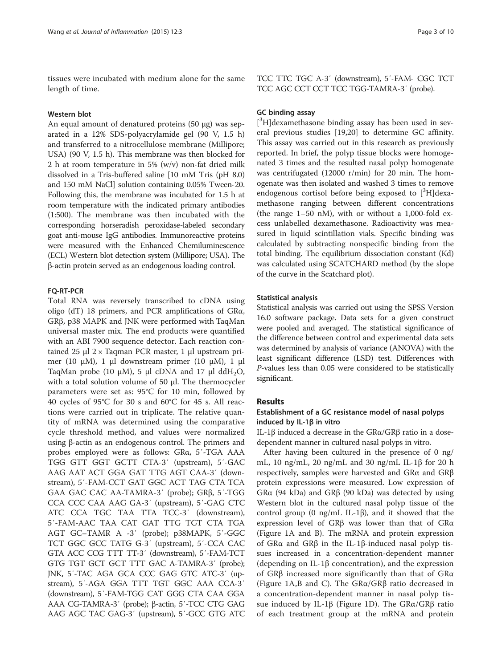tissues were incubated with medium alone for the same length of time.

## Western blot

An equal amount of denatured proteins (50 μg) was separated in a 12% SDS-polyacrylamide gel (90 V, 1.5 h) and transferred to a nitrocellulose membrane (Millipore; USA) (90 V, 1.5 h). This membrane was then blocked for 2 h at room temperature in 5% (w/v) non-fat dried milk dissolved in a Tris-buffered saline [10 mM Tris (pH 8.0) and 150 mM NaCl] solution containing 0.05% Tween-20. Following this, the membrane was incubated for 1.5 h at room temperature with the indicated primary antibodies (1:500). The membrane was then incubated with the corresponding horseradish peroxidase-labeled secondary goat anti-mouse IgG antibodies. Immunoreactive proteins were measured with the Enhanced Chemiluminescence (ECL) Western blot detection system (Millipore; USA). The β-actin protein served as an endogenous loading control.

#### FQ-RT-PCR

Total RNA was reversely transcribed to cDNA using oligo (dT) 18 primers, and PCR amplifications of GRα, GRβ, p38 MAPK and JNK were performed with TaqMan universal master mix. The end products were quantified with an ABI 7900 sequence detector. Each reaction contained 25 μl  $2 \times$  Taqman PCR master, 1 μl upstream primer (10 μM), 1 μl downstream primer (10 μM), 1 μl TaqMan probe (10 μM), 5 μl cDNA and 17 μl ddH<sub>2</sub>O, with a total solution volume of 50 μl. The thermocycler parameters were set as: 95°C for 10 min, followed by 40 cycles of 95°C for 30 s and 60°C for 45 s. All reactions were carried out in triplicate. The relative quantity of mRNA was determined using the comparative cycle threshold method, and values were normalized using β-actin as an endogenous control. The primers and probes employed were as follows: GRα, 5′-TGA AAA TGG GTT GGT GCTT CTA-3′ (upstream), 5′-GAC AAG AAT ACT GGA GAT TTG AGT CAA-3′ (downstream), 5′-FAM-CCT GAT GGC ACT TAG CTA TCA GAA GAC CAC AA-TAMRA-3′ (probe); GRβ, 5′-TGG CCA CCC CAA AAG GA-3′ (upstream), 5′-GAG CTC ATC CCA TGC TAA TTA TCC-3′ (downstream), 5′-FAM-AAC TAA CAT GAT TTG TGT CTA TGA AGT GC–TAMR A -3′ (probe); p38MAPK, 5′-GGC TCT GGC GCC TATG G-3′ (upstream), 5′-CCA CAC GTA ACC CCG TTT TT-3′ (downstream), 5′-FAM-TCT GTG TGT GCT GCT TTT GAC A-TAMRA-3′ (probe); JNK, 5′-TAC AGA GCA CCC GAG GTC ATC-3′ (upstream), 5′-AGA GGA TTT TGT GGC AAA CCA-3′ (downstream), 5′-FAM-TGG CAT GGG CTA CAA GGA AAA CG-TAMRA-3′ (probe); β-actin, 5′-TCC CTG GAG AAG AGC TAC GAG-3′ (upstream), 5′-GCC GTG ATC

TCC TTC TGC A-3′ (downstream), 5′-FAM- CGC TCT TCC AGC CCT CCT TCC TGG-TAMRA-3′ (probe).

#### GC binding assay

[<sup>3</sup>H]dexamethasone binding assay has been used in several previous studies [\[19,20\]](#page-8-0) to determine GC affinity. This assay was carried out in this research as previously reported. In brief, the polyp tissue blocks were homogenated 3 times and the resulted nasal polyp homogenate was centrifugated (12000 r/min) for 20 min. The homogenate was then isolated and washed 3 times to remove endogenous cortisol before being exposed to  $[^{3}H]$ dexamethasone ranging between different concentrations (the range  $1-50$  nM), with or without a 1,000-fold excess unlabelled dexamethasone. Radioactivity was measured in liquid scintillation vials. Specific binding was calculated by subtracting nonspecific binding from the total binding. The equilibrium dissociation constant (Kd) was calculated using SCATCHARD method (by the slope of the curve in the Scatchard plot).

#### Statistical analysis

Statistical analysis was carried out using the SPSS Version 16.0 software package. Data sets for a given construct were pooled and averaged. The statistical significance of the difference between control and experimental data sets was determined by analysis of variance (ANOVA) with the least significant difference (LSD) test. Differences with P-values less than 0.05 were considered to be statistically significant.

## Results

## Establishment of a GC resistance model of nasal polyps induced by IL-1β in vitro

IL-1β induced a decrease in the GRα/GRβ ratio in a dosedependent manner in cultured nasal polyps in vitro.

After having been cultured in the presence of 0 ng/ mL, 10 ng/mL, 20 ng/mL and 30 ng/mL IL-1β for 20 h respectively, samples were harvested and GRα and GRβ protein expressions were measured. Low expression of GRα (94 kDa) and GRβ (90 kDa) was detected by using Western blot in the cultured nasal polyp tissue of the control group (0 ng/mL IL-1β), and it showed that the expression level of GRβ was lower than that of GRα (Figure [1A](#page-3-0) and B). The mRNA and protein expression of GRα and GRβ in the IL-1β-induced nasal polyp tissues increased in a concentration-dependent manner (depending on IL-1β concentration), and the expression of GRβ increased more significantly than that of GRα (Figure [1A](#page-3-0),B and C). The  $G R\alpha/G R\beta$  ratio decreased in a concentration-dependent manner in nasal polyp tis-sue induced by IL-1β (Figure [1](#page-3-0)D). The  $GRα/GRβ$  ratio of each treatment group at the mRNA and protein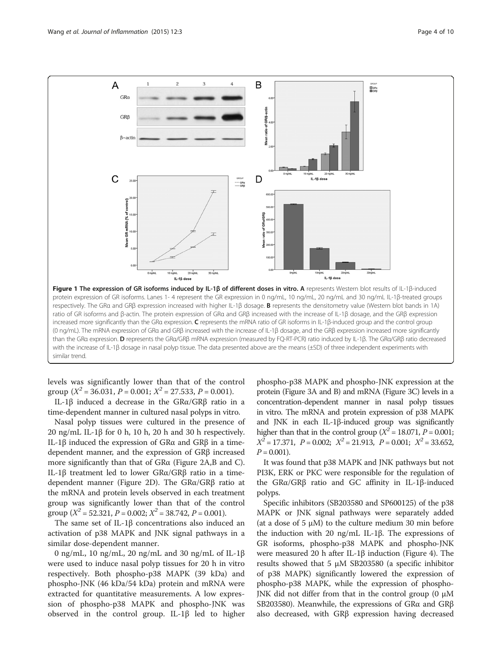<span id="page-3-0"></span>

levels was significantly lower than that of the control group  $(X^2 = 36.031, P = 0.001; X^2 = 27.533, P = 0.001)$ .

IL-1β induced a decrease in the GRα/GRβ ratio in a time-dependent manner in cultured nasal polyps in vitro.

Nasal polyp tissues were cultured in the presence of 20 ng/mL IL-1β for 0 h, 10 h, 20 h and 30 h respectively. IL-1β induced the expression of GRα and GRβ in a timedependent manner, and the expression of GRβ increased more significantly than that of GRα (Figure [2](#page-4-0)A,B and C). IL-1β treatment led to lower GRα/GRβ ratio in a timedependent manner (Figure [2](#page-4-0)D). The GRα/GRβ ratio at the mRNA and protein levels observed in each treatment group was significantly lower than that of the control group ( $X^2$  = 52.321,  $P$  = 0.002;  $X^2$  = 38.742,  $P$  = 0.001).

The same set of IL-1β concentrations also induced an activation of p38 MAPK and JNK signal pathways in a similar dose-dependent manner.

0 ng/mL, 10 ng/mL, 20 ng/mL and 30 ng/mL of IL-1β were used to induce nasal polyp tissues for 20 h in vitro respectively. Both phospho-p38 MAPK (39 kDa) and phospho-JNK (46 kDa/54 kDa) protein and mRNA were extracted for quantitative measurements. A low expression of phospho-p38 MAPK and phospho-JNK was observed in the control group. IL-1β led to higher

phospho-p38 MAPK and phospho-JNK expression at the protein (Figure [3](#page-6-0)A and B) and mRNA (Figure [3C](#page-6-0)) levels in a concentration-dependent manner in nasal polyp tissues in vitro. The mRNA and protein expression of p38 MAPK and JNK in each IL-1β-induced group was significantly higher than that in the control group ( $X^2 = 18.071$ ,  $P = 0.001$ ;  $X^2 = 17.371$ ,  $P = 0.002$ ;  $X^2 = 21.913$ ,  $P = 0.001$ ;  $X^2 = 33.652$ ,  $P = 0.001$ ).

It was found that p38 MAPK and JNK pathways but not PI3K, ERK or PKC were responsible for the regulation of the GRα/GRβ ratio and GC affinity in IL-1β-induced polyps.

Specific inhibitors (SB203580 and SP600125) of the p38 MAPK or JNK signal pathways were separately added (at a dose of 5  $\mu$ M) to the culture medium 30 min before the induction with 20 ng/mL IL-1β. The expressions of GR isoforms, phospho-p38 MAPK and phospho-JNK were measured 20 h after IL-1β induction (Figure [4](#page-6-0)). The results showed that 5 μM SB203580 (a specific inhibitor of p38 MAPK) significantly lowered the expression of phospho-p38 MAPK, while the expression of phospho-JNK did not differ from that in the control group  $(0 \mu M)$ SB203580). Meanwhile, the expressions of GRα and GRβ also decreased, with GRβ expression having decreased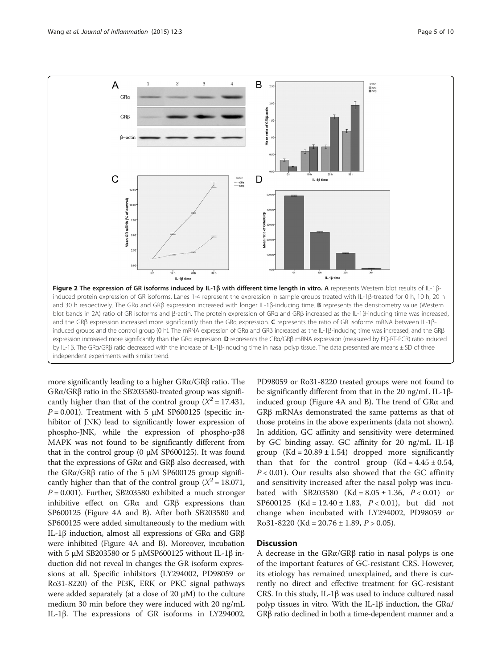<span id="page-4-0"></span>

more significantly leading to a higher GRα/GRβ ratio. The GRα/GRβ ratio in the SB203580-treated group was significantly higher than that of the control group ( $X^2 = 17.431$ ,  $P = 0.001$ ). Treatment with 5 μM SP600125 (specific inhibitor of JNK) lead to significantly lower expression of phospho-JNK, while the expression of phospho-p38 MAPK was not found to be significantly different from that in the control group (0 μM SP600125). It was found that the expressions of GRα and GRβ also decreased, with the GRα/GRβ ratio of the 5 μM SP600125 group significantly higher than that of the control group ( $X^2 = 18.071$ ,  $P = 0.001$ ). Further, SB203580 exhibited a much stronger inhibitive effect on GRα and GRβ expressions than SP600125 (Figure [4](#page-6-0)A and B). After both SB203580 and SP600125 were added simultaneously to the medium with IL-1β induction, almost all expressions of GRα and GRβ were inhibited (Figure [4](#page-6-0)A and B). Moreover, incubation with 5 μM SB203580 or 5 μMSP600125 without IL-1β induction did not reveal in changes the GR isoform expressions at all. Specific inhibitors (LY294002, PD98059 or Ro31-8220) of the PI3K, ERK or PKC signal pathways were added separately (at a dose of 20 μM) to the culture medium 30 min before they were induced with 20 ng/mL IL-1β. The expressions of GR isoforms in LY294002, PD98059 or Ro31-8220 treated groups were not found to be significantly different from that in the 20 ng/mL IL-1β-induced group (Figure [4A](#page-6-0) and B). The trend of  $G R\alpha$  and GRβ mRNAs demonstrated the same patterns as that of those proteins in the above experiments (data not shown). In addition, GC affinity and sensitivity were determined by GC binding assay. GC affinity for 20 ng/mL IL-1β group  $(Kd = 20.89 \pm 1.54)$  dropped more significantly than that for the control group  $(Kd = 4.45 \pm 0.54,$  $P < 0.01$ ). Our results also showed that the GC affinity and sensitivity increased after the nasal polyp was incubated with SB203580 (Kd =  $8.05 \pm 1.36$ ,  $P < 0.01$ ) or SP600125 (Kd = 12.40 ± 1.83,  $P < 0.01$ ), but did not change when incubated with LY294002, PD98059 or Ro31-8220 (Kd = 20.76  $\pm$  1.89, P > 0.05).

## **Discussion**

A decrease in the  $G\nRα/GRβ$  ratio in nasal polyps is one of the important features of GC-resistant CRS. However, its etiology has remained unexplained, and there is currently no direct and effective treatment for GC-resistant CRS. In this study, IL-1β was used to induce cultured nasal polyp tissues in vitro. With the IL-1β induction, the  $G\nRα/$ GRβ ratio declined in both a time-dependent manner and a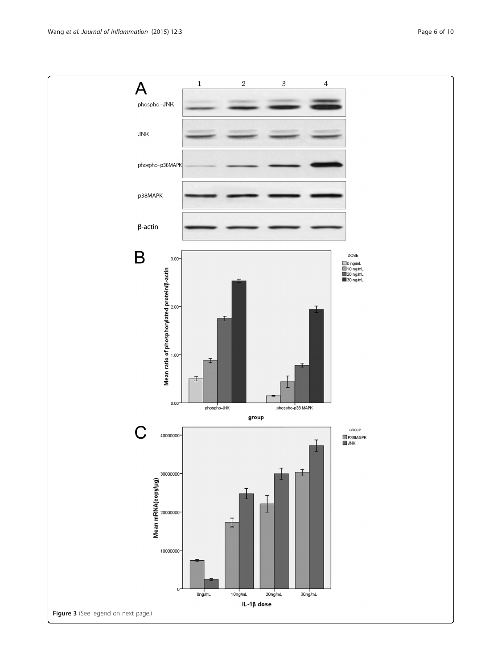Wang et al. Journal of Inflammation (2015) 12:3 **Page 6 of 10** 

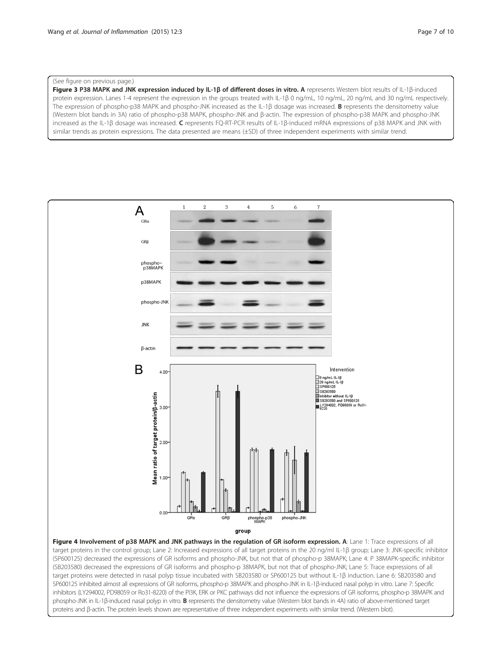#### <span id="page-6-0"></span>(See figure on previous page.)

Figure 3 P38 MAPK and JNK expression induced by IL-1β of different doses in vitro. A represents Western blot results of IL-1β-induced protein expression. Lanes 1-4 represent the expression in the groups treated with IL-1β 0 ng/mL, 10 ng/mL, 20 ng/mL and 30 ng/mL respectively. The expression of phospho-p38 MAPK and phospho-JNK increased as the IL-1 $\beta$  dosage was increased. **B** represents the densitometry value (Western blot bands in 3A) ratio of phospho-p38 MAPK, phospho-JNK and β-actin. The expression of phospho-p38 MAPK and phospho-JNK increased as the IL-1β dosage was increased. C represents FQ-RT-PCR results of IL-1β-induced mRNA expressions of p38 MAPK and JNK with similar trends as protein expressions. The data presented are means (±SD) of three independent experiments with similar trend.

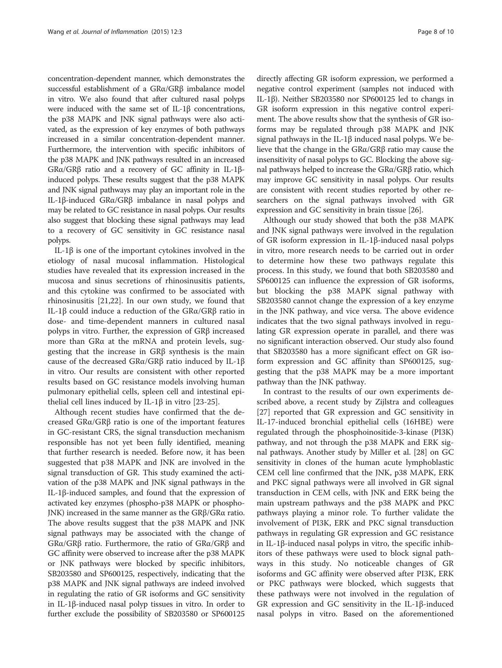concentration-dependent manner, which demonstrates the successful establishment of a GRα/GRβ imbalance model in vitro. We also found that after cultured nasal polyps were induced with the same set of IL-1β concentrations, the p38 MAPK and JNK signal pathways were also activated, as the expression of key enzymes of both pathways increased in a similar concentration-dependent manner. Furthermore, the intervention with specific inhibitors of the p38 MAPK and JNK pathways resulted in an increased GRα/GRβ ratio and a recovery of GC affinity in IL-1βinduced polyps. These results suggest that the p38 MAPK and JNK signal pathways may play an important role in the IL-1β-induced GRα/GRβ imbalance in nasal polyps and may be related to GC resistance in nasal polyps. Our results also suggest that blocking these signal pathways may lead to a recovery of GC sensitivity in GC resistance nasal polyps.

IL-1β is one of the important cytokines involved in the etiology of nasal mucosal inflammation. Histological studies have revealed that its expression increased in the mucosa and sinus secretions of rhinosinusitis patients, and this cytokine was confirmed to be associated with rhinosinusitis [[21,22\]](#page-8-0). In our own study, we found that IL-1β could induce a reduction of the GRα/GRβ ratio in dose- and time-dependent manners in cultured nasal polyps in vitro. Further, the expression of GRβ increased more than GRα at the mRNA and protein levels, suggesting that the increase in GRβ synthesis is the main cause of the decreased GRα/GRβ ratio induced by IL-1β in vitro. Our results are consistent with other reported results based on GC resistance models involving human pulmonary epithelial cells, spleen cell and intestinal epithelial cell lines induced by IL-1β in vitro  $[23-25]$  $[23-25]$  $[23-25]$ .

Although recent studies have confirmed that the decreased GRα/GRβ ratio is one of the important features in GC-resistant CRS, the signal transduction mechanism responsible has not yet been fully identified, meaning that further research is needed. Before now, it has been suggested that p38 MAPK and JNK are involved in the signal transduction of GR. This study examined the activation of the p38 MAPK and JNK signal pathways in the IL-1β-induced samples, and found that the expression of activated key enzymes (phospho-p38 MAPK or phospho-JNK) increased in the same manner as the GRβ/GRα ratio. The above results suggest that the p38 MAPK and JNK signal pathways may be associated with the change of GRα/GRβ ratio. Furthermore, the ratio of GRα/GRβ and GC affinity were observed to increase after the p38 MAPK or JNK pathways were blocked by specific inhibitors, SB203580 and SP600125, respectively, indicating that the p38 MAPK and JNK signal pathways are indeed involved in regulating the ratio of GR isoforms and GC sensitivity in IL-1β-induced nasal polyp tissues in vitro. In order to further exclude the possibility of SB203580 or SP600125

directly affecting GR isoform expression, we performed a negative control experiment (samples not induced with IL-1β). Neither SB203580 nor SP600125 led to changs in GR isoform expression in this negative control experiment. The above results show that the synthesis of GR isoforms may be regulated through p38 MAPK and JNK signal pathways in the IL-1β induced nasal polyps. We believe that the change in the GRα/GRβ ratio may cause the insensitivity of nasal polyps to GC. Blocking the above signal pathways helped to increase the GRα/GRβ ratio, which may improve GC sensitivity in nasal polyps. Our results are consistent with recent studies reported by other researchers on the signal pathways involved with GR expression and GC sensitivity in brain tissue [[26](#page-9-0)].

Although our study showed that both the p38 MAPK and JNK signal pathways were involved in the regulation of GR isoform expression in IL-1β-induced nasal polyps in vitro, more research needs to be carried out in order to determine how these two pathways regulate this process. In this study, we found that both SB203580 and SP600125 can influence the expression of GR isoforms, but blocking the p38 MAPK signal pathway with SB203580 cannot change the expression of a key enzyme in the JNK pathway, and vice versa. The above evidence indicates that the two signal pathways involved in regulating GR expression operate in parallel, and there was no significant interaction observed. Our study also found that SB203580 has a more significant effect on GR isoform expression and GC affinity than SP600125, suggesting that the p38 MAPK may be a more important pathway than the JNK pathway.

In contrast to the results of our own experiments described above, a recent study by Zijlstra and colleagues [[27\]](#page-9-0) reported that GR expression and GC sensitivity in IL-17-induced bronchial epithelial cells (16HBE) were regulated through the phosphoinositide-3-kinase (PI3K) pathway, and not through the p38 MAPK and ERK signal pathways. Another study by Miller et al. [\[28\]](#page-9-0) on GC sensitivity in clones of the human acute lymphoblastic CEM cell line confirmed that the JNK, p38 MAPK, ERK and PKC signal pathways were all involved in GR signal transduction in CEM cells, with JNK and ERK being the main upstream pathways and the p38 MAPK and PKC pathways playing a minor role. To further validate the involvement of PI3K, ERK and PKC signal transduction pathways in regulating GR expression and GC resistance in IL-1β-induced nasal polyps in vitro, the specific inhibitors of these pathways were used to block signal pathways in this study. No noticeable changes of GR isoforms and GC affinity were observed after PI3K, ERK or PKC pathways were blocked, which suggests that these pathways were not involved in the regulation of GR expression and GC sensitivity in the IL-1β-induced nasal polyps in vitro. Based on the aforementioned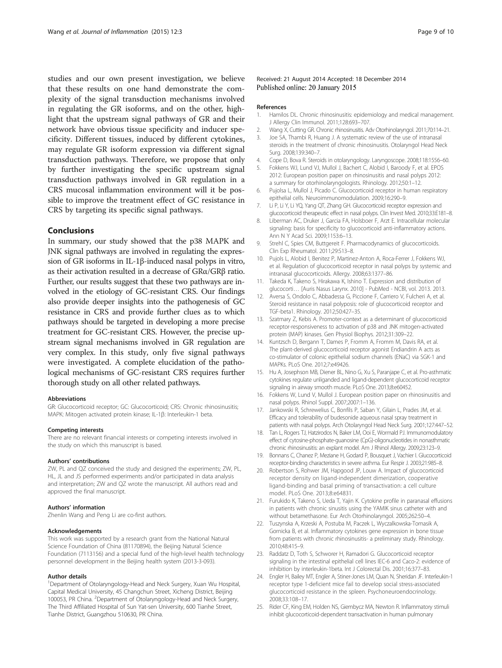<span id="page-8-0"></span>studies and our own present investigation, we believe that these results on one hand demonstrate the complexity of the signal transduction mechanisms involved in regulating the GR isoforms, and on the other, highlight that the upstream signal pathways of GR and their network have obvious tissue specificity and inducer specificity. Different tissues, induced by different cytokines, may regulate GR isoform expression via different signal transduction pathways. Therefore, we propose that only by further investigating the specific upstream signal transduction pathways involved in GR regulation in a CRS mucosal inflammation environment will it be possible to improve the treatment effect of GC resistance in CRS by targeting its specific signal pathways.

#### Conclusions

In summary, our study showed that the p38 MAPK and JNK signal pathways are involved in regulating the expression of GR isoforms in IL-1β-induced nasal polyps in vitro, as their activation resulted in a decrease of GRα/GRβ ratio. Further, our results suggest that these two pathways are involved in the etiology of GC-resistant CRS. Our findings also provide deeper insights into the pathogenesis of GC resistance in CRS and provide further clues as to which pathways should be targeted in developing a more precise treatment for GC-resistant CRS. However, the precise upstream signal mechanisms involved in GR regulation are very complex. In this study, only five signal pathways were investigated. A complete elucidation of the pathological mechanisms of GC-resistant CRS requires further thorough study on all other related pathways.

#### Abbreviations

GR: Glucocorticoid receptor; GC: Glucocorticoid; CRS: Chronic rhinosinusitis; MAPK: Mitogen activated protein kinase; IL-1β: Interleukin-1 beta.

#### Competing interests

There are no relevant financial interests or competing interests involved in the study on which this manuscript is based.

#### Authors' contributions

ZW, PL and QZ conceived the study and designed the experiments; ZW, PL, HL, JL and JS performed experiments and/or participated in data analysis and interpretation; ZW and QZ wrote the manuscript. All authors read and approved the final manuscript.

#### Authors' information

Zhenlin Wang and Peng Li are co-first authors.

#### Acknowledgements

This work was supported by a research grant from the National Natural Science Foundation of China (81170894), the Beijing Natural Science Foundation (7113156) and a special fund of the high-level health technology personnel development in the Beijing health system (2013-3-093).

#### Author details

<sup>1</sup>Department of Otolaryngology-Head and Neck Surgery, Xuan Wu Hospital, Capital Medical University, 45 Changchun Street, Xicheng District, Beijing 100053, PR China. <sup>2</sup> Department of Otolaryngology-Head and Neck Surgery, The Third Affiliated Hospital of Sun Yat-sen University, 600 Tianhe Street, Tianhe District, Guangzhou 510630, PR China.

#### Received: 21 August 2014 Accepted: 18 December 2014 Published online: 20 January 2015

#### References

- 1. Hamilos DL. Chronic rhinosinusitis: epidemiology and medical management. J Allergy Clin Immunol. 2011;128:693–707.
- 2. Wang X, Cutting GR. Chronic rhinosinusitis. Adv Otorhinolaryngol. 2011;70:114–21.
- 3. Joe SA, Thambi R, Huang J. A systematic review of the use of intranasal steroids in the treatment of chronic rhinosinusitis. Otolaryngol Head Neck Surg. 2008;139:340–7.
- 4. Cope D, Bova R. Steroids in otolaryngology. Laryngoscope. 2008;118:1556–60.
- 5. Fokkens WJ, Lund VJ, Mullol J, Bachert C, Alobid I, Baroody F, et al. EPOS 2012: European position paper on rhinosinusitis and nasal polyps 2012: a summary for otorhinolaryngologists. Rhinology. 2012;50:1–12.
- 6. Pujolsa L, Mullol J, Picado C. Glucocorticoid receptor in human respiratory epithelial cells. Neuroimmunomodulation. 2009;16:290–9.
- 7. Li P, Li Y, Li YQ, Yang QT, Zhang GH. Glucocorticoid receptor expression and glucocorticoid therapeutic effect in nasal polyps. Clin Invest Med. 2010;33:E181–8.
- 8. Liberman AC, Druker J, Garcia FA, Holsboer F, Arzt E. Intracellular molecular signaling: basis for specificity to glucocorticoid anti-inflammatory actions. Ann N Y Acad Sci. 2009;1153:6–13.
- 9. Strehl C, Spies CM, Buttgereit F. Pharmacodynamics of glucocorticoids. Clin Exp Rheumatol. 2011;29:S13–8.
- 10. Pujols L, Alobid I, Benitez P, Martinez-Anton A, Roca-Ferrer J, Fokkens WJ, et al. Regulation of glucocorticoid receptor in nasal polyps by systemic and intranasal glucocorticoids. Allergy. 2008;63:1377–86.
- 11. Takeda K, Takeno S, Hirakawa K, Ishino T. Expression and distribution of glucocorti… [Auris Nasus Larynx. 2010] - PubMed - NCBI, vol. 2013. 2013.
- 12. Aversa S, Ondolo C, Abbadessa G, Piccione F, Carriero V, Fulcheri A, et al. Steroid resistance in nasal polyposis: role of glucocorticoid receptor and TGF-beta1. Rhinology. 2012;50:427–35.
- 13. Szatmary Z, Kebis A. Promoter-context as a determinant of glucocorticoid receptor-responsiveness to activation of p38 and JNK mitogen-activated protein (MAP) kinases. Gen Physiol Biophys. 2012;31:309–22.
- 14. Kuntzsch D, Bergann T, Dames P, Fromm A, Fromm M, Davis RA, et al. The plant-derived glucocorticoid receptor agonist Endiandrin A acts as co-stimulator of colonic epithelial sodium channels (ENaC) via SGK-1 and MAPKs. PLoS One. 2012;7:e49426.
- 15. Hu A, Josephson MB, Diener BL, Nino G, Xu S, Paranjape C, et al. Pro-asthmatic cytokines regulate unliganded and ligand-dependent glucocorticoid receptor signaling in airway smooth muscle. PLoS One. 2013;8:e60452.
- 16. Fokkens W, Lund V, Mullol J. European position paper on rhinosinusitis and nasal polyps. Rhinol Suppl. 2007;2007:1–136.
- 17. Jankowski R, Schrewelius C, Bonfils P, Saban Y, Gilain L, Prades JM, et al. Efficacy and tolerability of budesonide aqueous nasal spray treatment in patients with nasal polyps. Arch Otolaryngol Head Neck Surg. 2001;127:447–52.
- 18. Tan L, Rogers TJ, Hatzirodos N, Baker LM, Ooi E, Wormald PJ. Immunomodulatory effect of cytosine-phosphate-guanosine (CpG)-oligonucleotides in nonasthmatic chronic rhinosinusitis: an explant model. Am J Rhinol Allergy. 2009;23:123–9.
- 19. Bonnans C, Chanez P, Meziane H, Godard P, Bousquet J, Vachier I. Glucocorticoid receptor-binding characteristics in severe asthma. Eur Respir J. 2003;21:985–8.
- 20. Robertson S, Rohwer JM, Hapgood JP, Louw A. Impact of glucocorticoid receptor density on ligand-independent dimerization, cooperative ligand-binding and basal priming of transactivation: a cell culture model. PLoS One. 2013;8:e64831.
- 21. Furukido K, Takeno S, Ueda T, Yajin K. Cytokine profile in paranasal effusions in patients with chronic sinusitis using the YAMIK sinus catheter with and without betamethasone. Eur Arch Otorhinolaryngol. 2005;262:50–4.
- 22. Tuszynska A, Krzeski A, Postuba M, Paczek L, Wyczalkowska-Tomasik A, Gornicka B, et al. Inflammatory cytokines gene expression in bone tissue from patients with chronic rhinosinusitis- a preliminary study. Rhinology. 2010;48:415–9.
- 23. Raddatz D, Toth S, Schworer H, Ramadori G. Glucocorticoid receptor signaling in the intestinal epithelial cell lines IEC-6 and Caco-2: evidence of inhibition by interleukin-1beta. Int J Colorectal Dis. 2001;16:377–83.
- 24. Engler H, Bailey MT, Engler A, Stiner-Jones LM, Quan N, Sheridan JF. Interleukin-1 receptor type 1-deficient mice fail to develop social stress-associated glucocorticoid resistance in the spleen. Psychoneuroendocrinology. 2008;33:108–17.
- 25. Rider CF, King EM, Holden NS, Giembycz MA, Newton R. Inflammatory stimuli inhibit glucocorticoid-dependent transactivation in human pulmonary